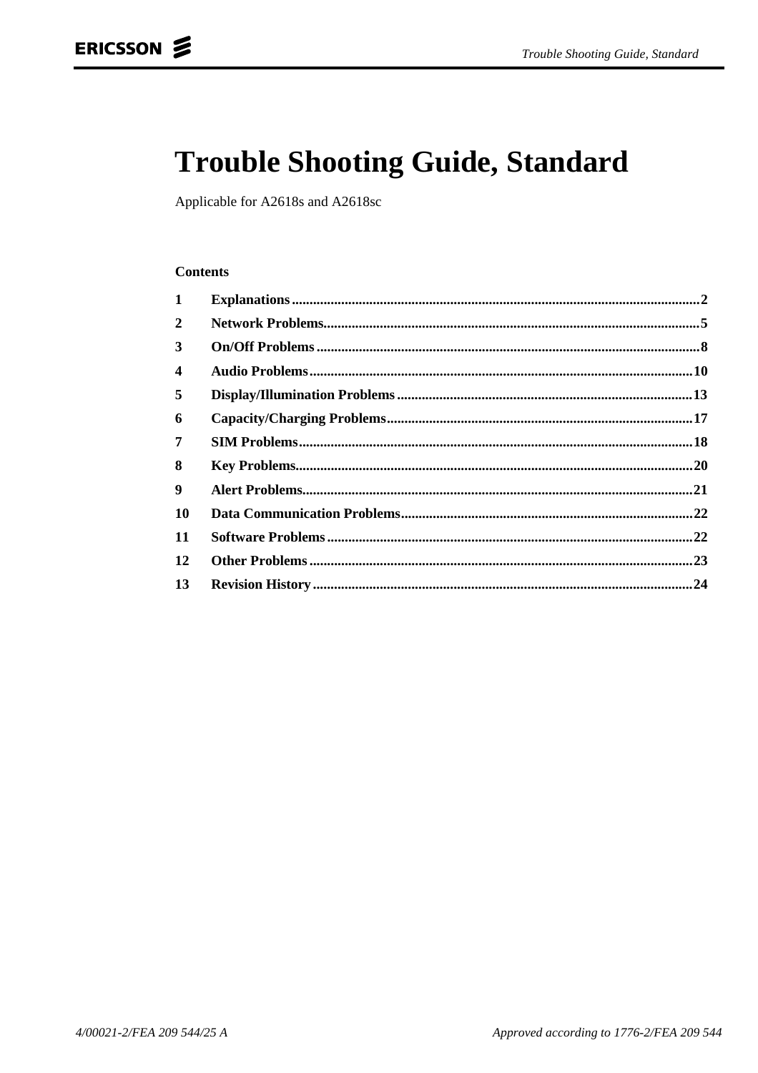# **Trouble Shooting Guide, Standard**

Applicable for A2618s and A2618sc

#### **Contents**

| .20 |
|-----|
|     |
|     |
|     |
|     |
|     |
|     |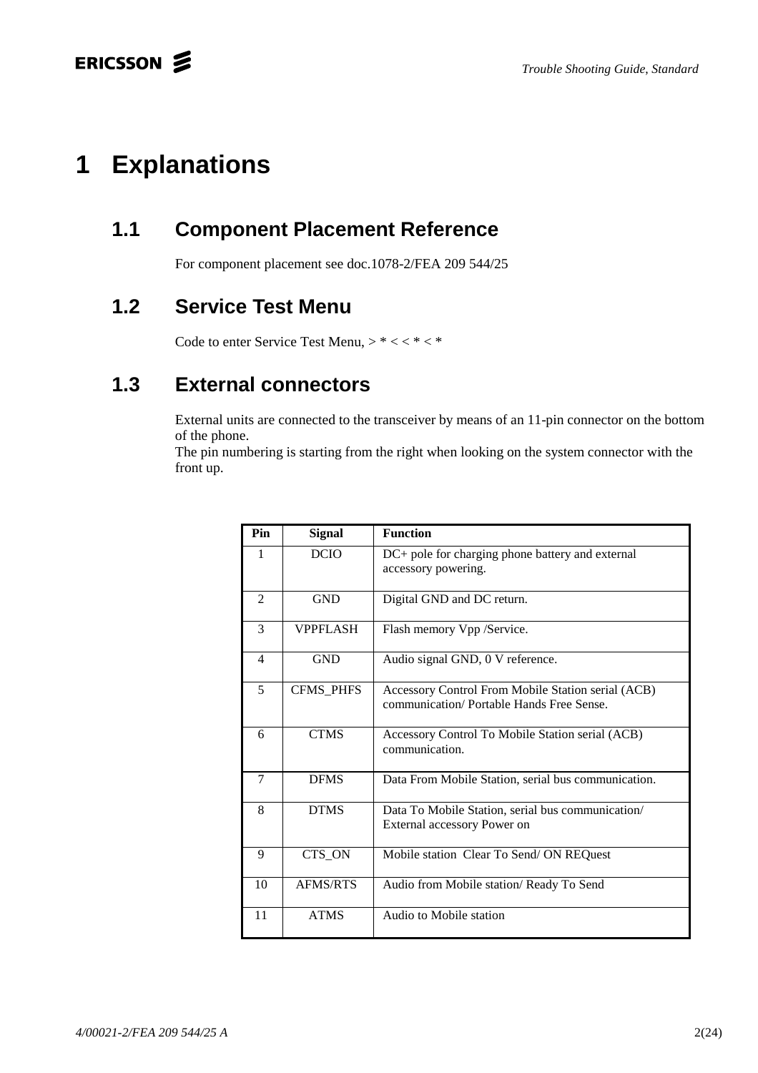# **1 Explanations**

## **1.1 Component Placement Reference**

For component placement see doc.1078-2/FEA 209 544/25

## **1.2 Service Test Menu**

Code to enter Service Test Menu,  $> * < * * *$ 

## **1.3 External connectors**

External units are connected to the transceiver by means of an 11-pin connector on the bottom of the phone.

The pin numbering is starting from the right when looking on the system connector with the front up.

| Pin            | <b>Signal</b>    | <b>Function</b>                                                                                 |
|----------------|------------------|-------------------------------------------------------------------------------------------------|
| 1              | <b>DCIO</b>      | DC+ pole for charging phone battery and external<br>accessory powering.                         |
| $\overline{2}$ | <b>GND</b>       | Digital GND and DC return.                                                                      |
| 3              | <b>VPPFLASH</b>  | Flash memory Vpp /Service.                                                                      |
| $\overline{4}$ | <b>GND</b>       | Audio signal GND, 0 V reference.                                                                |
| 5              | <b>CFMS PHFS</b> | Accessory Control From Mobile Station serial (ACB)<br>communication/ Portable Hands Free Sense. |
| 6              | <b>CTMS</b>      | Accessory Control To Mobile Station serial (ACB)<br>communication.                              |
| $\tau$         | <b>DFMS</b>      | Data From Mobile Station, serial bus communication.                                             |
| 8              | <b>DTMS</b>      | Data To Mobile Station, serial bus communication/<br>External accessory Power on                |
| 9              | CTS_ON           | Mobile station Clear To Send/ON REQuest                                                         |
| 10             | <b>AFMS/RTS</b>  | Audio from Mobile station/ Ready To Send                                                        |
| 11             | <b>ATMS</b>      | Audio to Mobile station                                                                         |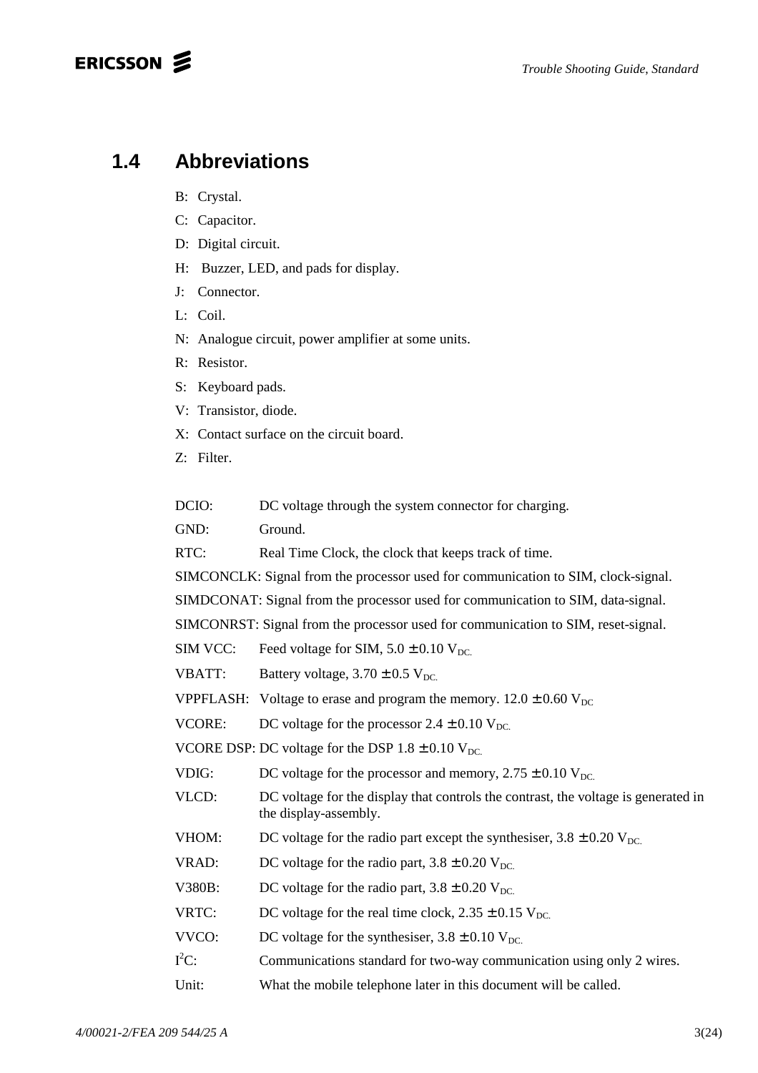### ERICSSON **S**

### **1.4 Abbreviations**

- B: Crystal.
- C: Capacitor.
- D: Digital circuit.
- H: Buzzer, LED, and pads for display.
- J: Connector.
- L: Coil.
- N: Analogue circuit, power amplifier at some units.
- R: Resistor.
- S: Keyboard pads.
- V: Transistor, diode.
- X: Contact surface on the circuit board.
- Z: Filter.

DCIO: DC voltage through the system connector for charging.

GND: Ground.

RTC: Real Time Clock, the clock that keeps track of time.

SIMCONCLK: Signal from the processor used for communication to SIM, clock-signal.

SIMDCONAT: Signal from the processor used for communication to SIM, data-signal.

SIMCONRST: Signal from the processor used for communication to SIM, reset-signal.

SIM VCC: Feed voltage for SIM,  $5.0 \pm 0.10$  V<sub>DC</sub>.

VBATT: Battery voltage,  $3.70 \pm 0.5$  V<sub>DC</sub>.

VPPFLASH: Voltage to erase and program the memory.  $12.0 \pm 0.60$  V<sub>DC</sub>

VCORE: DC voltage for the processor  $2.4 \pm 0.10$  V<sub>DC</sub>.

VCORE DSP: DC voltage for the DSP  $1.8 \pm 0.10$  V<sub>DC</sub>.

- VDIG: DC voltage for the processor and memory,  $2.75 \pm 0.10$  V<sub>DC</sub>.
- VLCD: DC voltage for the display that controls the contrast, the voltage is generated in the display-assembly.
- VHOM: DC voltage for the radio part except the synthesiser,  $3.8 \pm 0.20$  V<sub>DC</sub>.
- VRAD: DC voltage for the radio part,  $3.8 \pm 0.20$  V<sub>DC</sub>.
- V380B: DC voltage for the radio part,  $3.8 \pm 0.20$  V<sub>DC</sub>.
- VRTC: DC voltage for the real time clock,  $2.35 \pm 0.15$  V<sub>DC</sub>.
- VVCO: DC voltage for the synthesiser,  $3.8 \pm 0.10$  V<sub>DC.</sub>
- $I^2$ Communications standard for two-way communication using only 2 wires.
- Unit: What the mobile telephone later in this document will be called.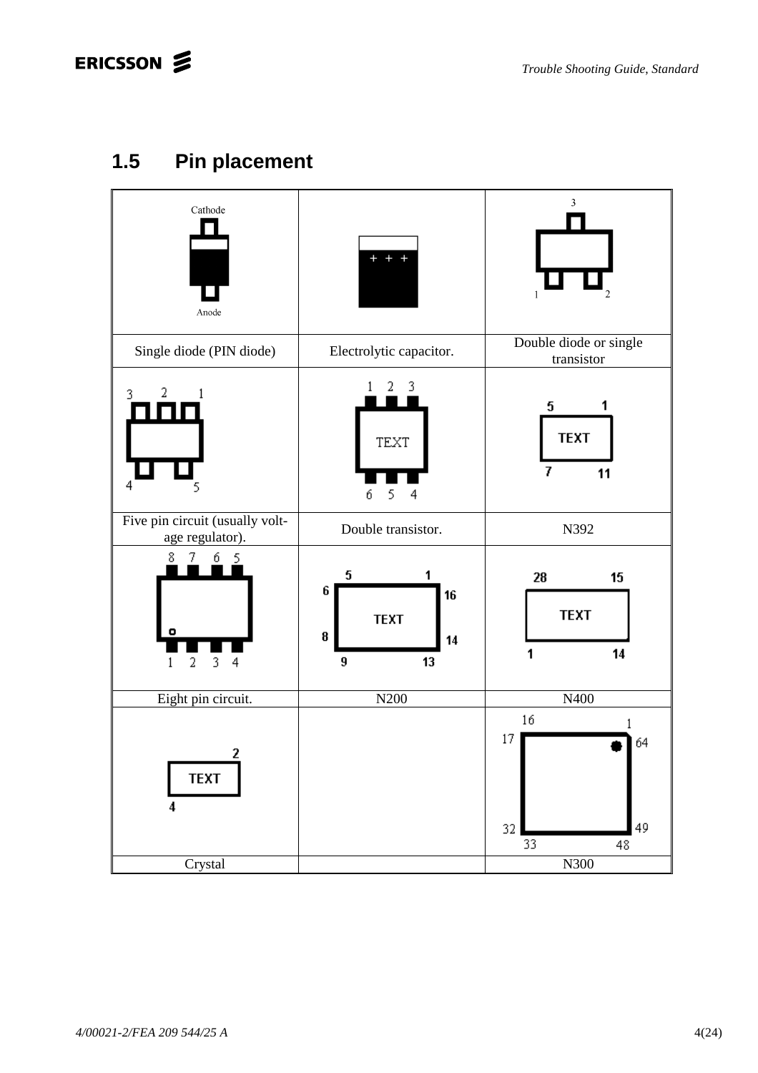# **1.5 Pin placement**

| Cathode<br>Anode                                   | $+$<br>$\ddot{}$                                       | $\overline{\mathbf{3}}$<br>$\mathbf{1}$             |
|----------------------------------------------------|--------------------------------------------------------|-----------------------------------------------------|
| Single diode (PIN diode)                           | Electrolytic capacitor.                                | Double diode or single<br>transistor                |
| 2<br>3<br>TH<br>4<br>5                             | 3<br>2<br>TEXT<br>5<br>4<br>б                          | 5<br>1<br><b>TEXT</b><br>7<br>11                    |
| Five pin circuit (usually volt-<br>age regulator). | Double transistor.                                     | N392                                                |
| 8<br>б<br>7<br>- 5<br>3<br>2<br>4<br>1             | 5<br>1<br>6<br>16<br><b>TEXT</b><br>8<br>14<br>9<br>13 | 28<br>15<br><b>TEXT</b><br>14<br>1                  |
| Eight pin circuit.                                 | N200                                                   | N400                                                |
| 2<br><b>TEXT</b><br>4<br>Crystal                   |                                                        | 16<br>1<br>17<br>64<br>49<br>32<br>33<br>48<br>N300 |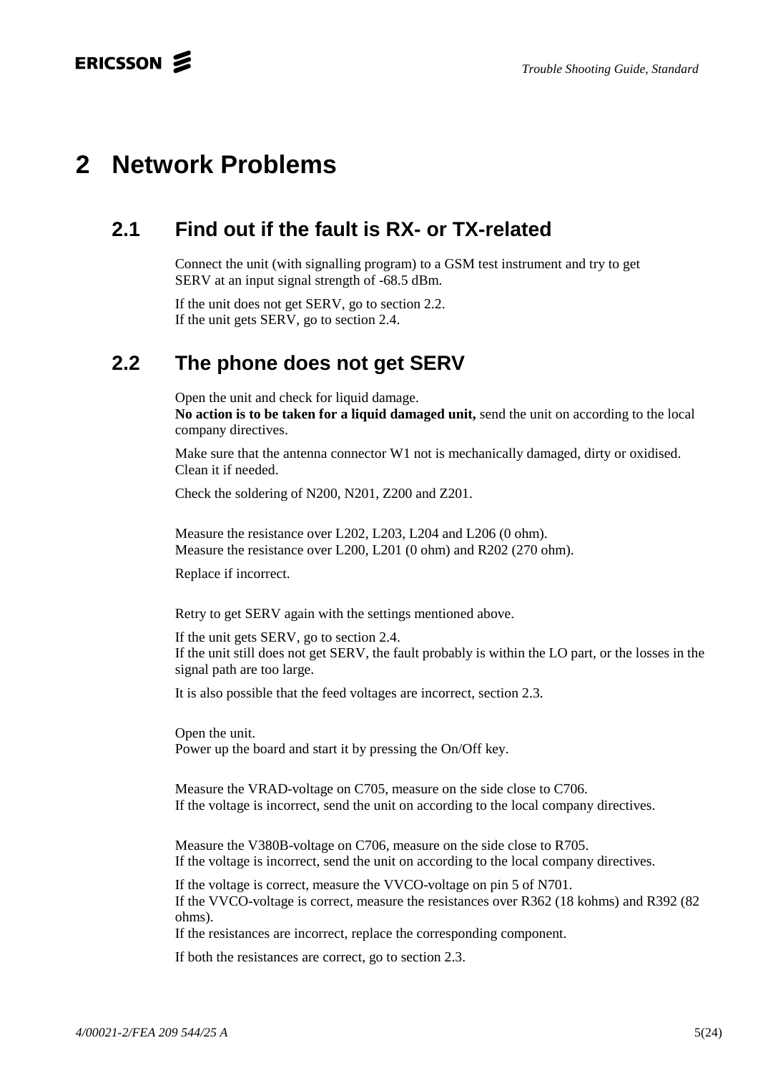# **2 Network Problems**

# **2.1 Find out if the fault is RX- or TX-related**

Connect the unit (with signalling program) to a GSM test instrument and try to get SERV at an input signal strength of -68.5 dBm.

If the unit does not get SERV, go to section 2.2. If the unit gets SERV, go to section 2.4.

## **2.2 The phone does not get SERV**

Open the unit and check for liquid damage.

**No action is to be taken for a liquid damaged unit,** send the unit on according to the local company directives.

Make sure that the antenna connector W1 not is mechanically damaged, dirty or oxidised. Clean it if needed.

Check the soldering of N200, N201, Z200 and Z201.

Measure the resistance over L202, L203, L204 and L206 (0 ohm). Measure the resistance over L200, L201 (0 ohm) and R202 (270 ohm).

Replace if incorrect.

Retry to get SERV again with the settings mentioned above.

If the unit gets SERV, go to section 2.4. If the unit still does not get SERV, the fault probably is within the LO part, or the losses in the signal path are too large.

It is also possible that the feed voltages are incorrect, section 2.3.

Open the unit. Power up the board and start it by pressing the On/Off key.

Measure the VRAD-voltage on C705, measure on the side close to C706. If the voltage is incorrect, send the unit on according to the local company directives.

Measure the V380B-voltage on C706, measure on the side close to R705. If the voltage is incorrect, send the unit on according to the local company directives.

If the voltage is correct, measure the VVCO-voltage on pin 5 of N701. If the VVCO-voltage is correct, measure the resistances over R362 (18 kohms) and R392 (82 ohms).

If the resistances are incorrect, replace the corresponding component.

If both the resistances are correct, go to section 2.3.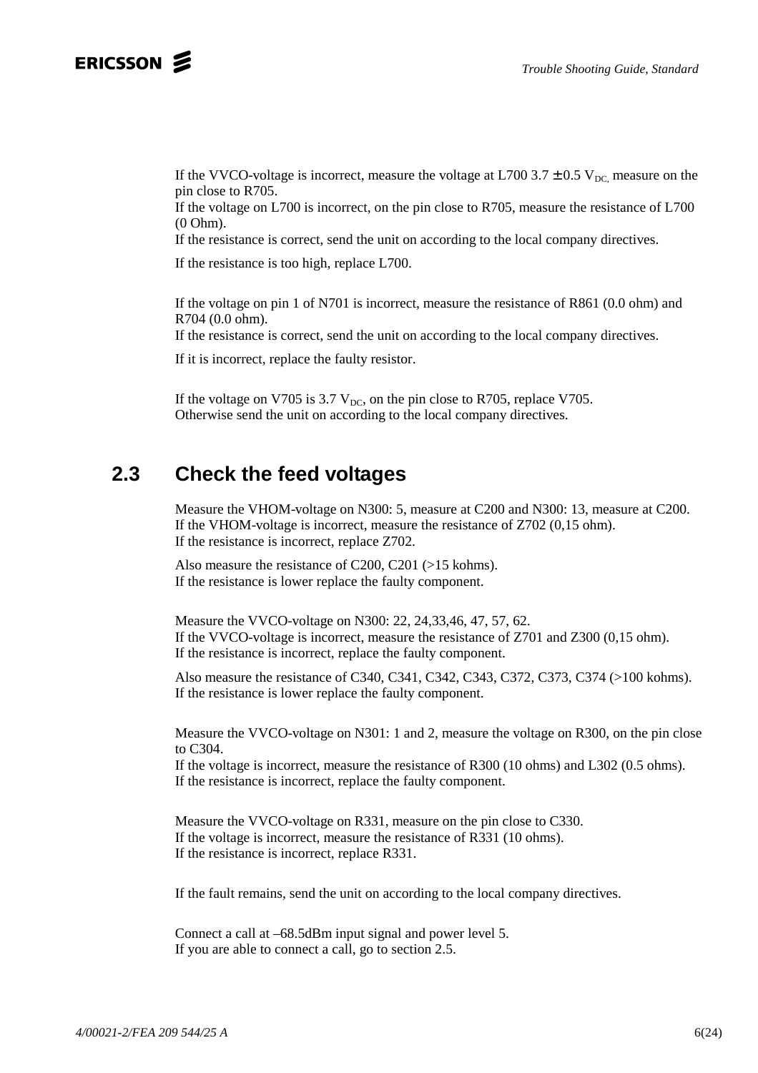### ERICSSON **2**

If the VVCO-voltage is incorrect, measure the voltage at L700 3.7  $\pm$  0.5 V<sub>DC</sub> measure on the pin close to R705.

If the voltage on L700 is incorrect, on the pin close to R705, measure the resistance of L700 (0 Ohm).

If the resistance is correct, send the unit on according to the local company directives.

If the resistance is too high, replace L700.

If the voltage on pin 1 of N701 is incorrect, measure the resistance of R861 (0.0 ohm) and R704 (0.0 ohm).

If the resistance is correct, send the unit on according to the local company directives.

If it is incorrect, replace the faulty resistor.

If the voltage on V705 is 3.7  $V_{DC}$ , on the pin close to R705, replace V705. Otherwise send the unit on according to the local company directives.

### **2.3 Check the feed voltages**

Measure the VHOM-voltage on N300: 5, measure at C200 and N300: 13, measure at C200. If the VHOM-voltage is incorrect, measure the resistance of Z702 (0,15 ohm). If the resistance is incorrect, replace Z702.

Also measure the resistance of C200, C201 (>15 kohms). If the resistance is lower replace the faulty component.

Measure the VVCO-voltage on N300: 22, 24,33,46, 47, 57, 62. If the VVCO-voltage is incorrect, measure the resistance of Z701 and Z300 (0,15 ohm). If the resistance is incorrect, replace the faulty component.

Also measure the resistance of C340, C341, C342, C343, C372, C373, C374 (>100 kohms). If the resistance is lower replace the faulty component.

Measure the VVCO-voltage on N301: 1 and 2, measure the voltage on R300, on the pin close to C304.

If the voltage is incorrect, measure the resistance of R300 (10 ohms) and L302 (0.5 ohms). If the resistance is incorrect, replace the faulty component.

Measure the VVCO-voltage on R331, measure on the pin close to C330. If the voltage is incorrect, measure the resistance of R331 (10 ohms). If the resistance is incorrect, replace R331.

If the fault remains, send the unit on according to the local company directives.

Connect a call at –68.5dBm input signal and power level 5. If you are able to connect a call, go to section 2.5.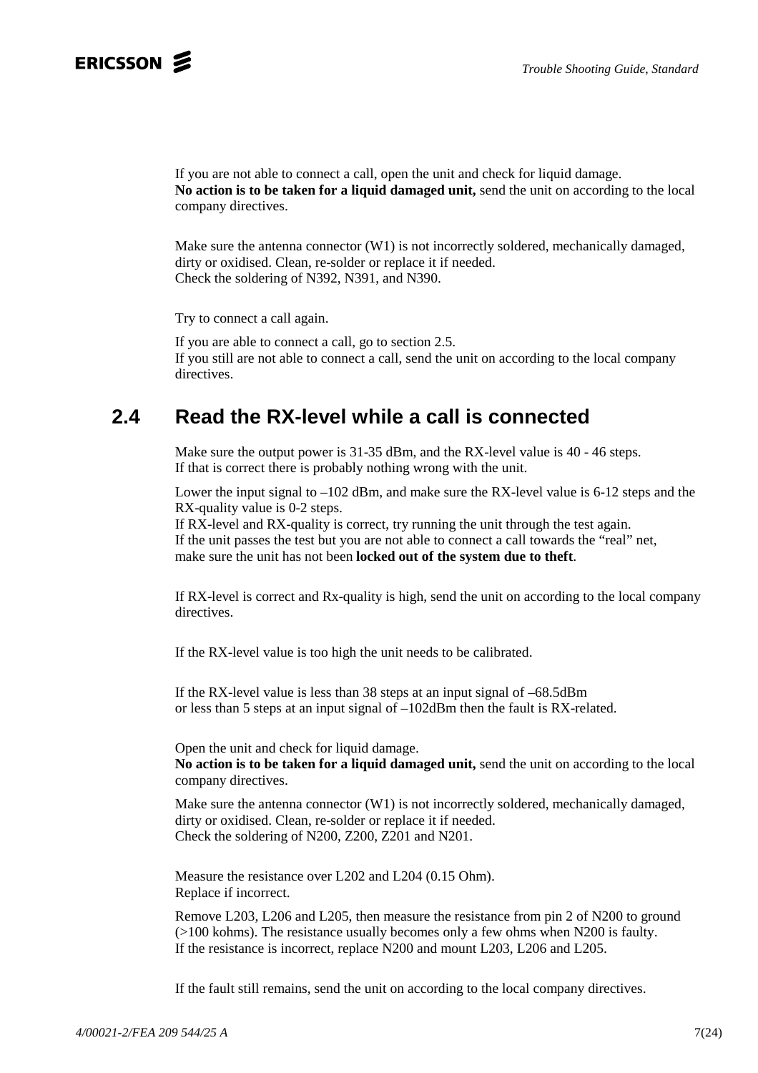

If you are not able to connect a call, open the unit and check for liquid damage. **No action is to be taken for a liquid damaged unit,** send the unit on according to the local company directives.

Make sure the antenna connector  $(W1)$  is not incorrectly soldered, mechanically damaged, dirty or oxidised. Clean, re-solder or replace it if needed. Check the soldering of N392, N391, and N390.

Try to connect a call again.

If you are able to connect a call, go to section 2.5. If you still are not able to connect a call, send the unit on according to the local company directives.

## **2.4 Read the RX-level while a call is connected**

Make sure the output power is 31-35 dBm, and the RX-level value is 40 - 46 steps. If that is correct there is probably nothing wrong with the unit.

Lower the input signal to  $-102$  dBm, and make sure the RX-level value is 6-12 steps and the RX-quality value is 0-2 steps.

If RX-level and RX-quality is correct, try running the unit through the test again. If the unit passes the test but you are not able to connect a call towards the "real" net, make sure the unit has not been **locked out of the system due to theft**.

If RX-level is correct and Rx-quality is high, send the unit on according to the local company directives.

If the RX-level value is too high the unit needs to be calibrated.

If the RX-level value is less than 38 steps at an input signal of –68.5dBm or less than 5 steps at an input signal of –102dBm then the fault is RX-related.

Open the unit and check for liquid damage. **No action is to be taken for a liquid damaged unit,** send the unit on according to the local company directives.

Make sure the antenna connector (W1) is not incorrectly soldered, mechanically damaged, dirty or oxidised. Clean, re-solder or replace it if needed. Check the soldering of N200, Z200, Z201 and N201.

Measure the resistance over L202 and L204 (0.15 Ohm). Replace if incorrect.

Remove L203, L206 and L205, then measure the resistance from pin 2 of N200 to ground (>100 kohms). The resistance usually becomes only a few ohms when N200 is faulty. If the resistance is incorrect, replace N200 and mount L203, L206 and L205.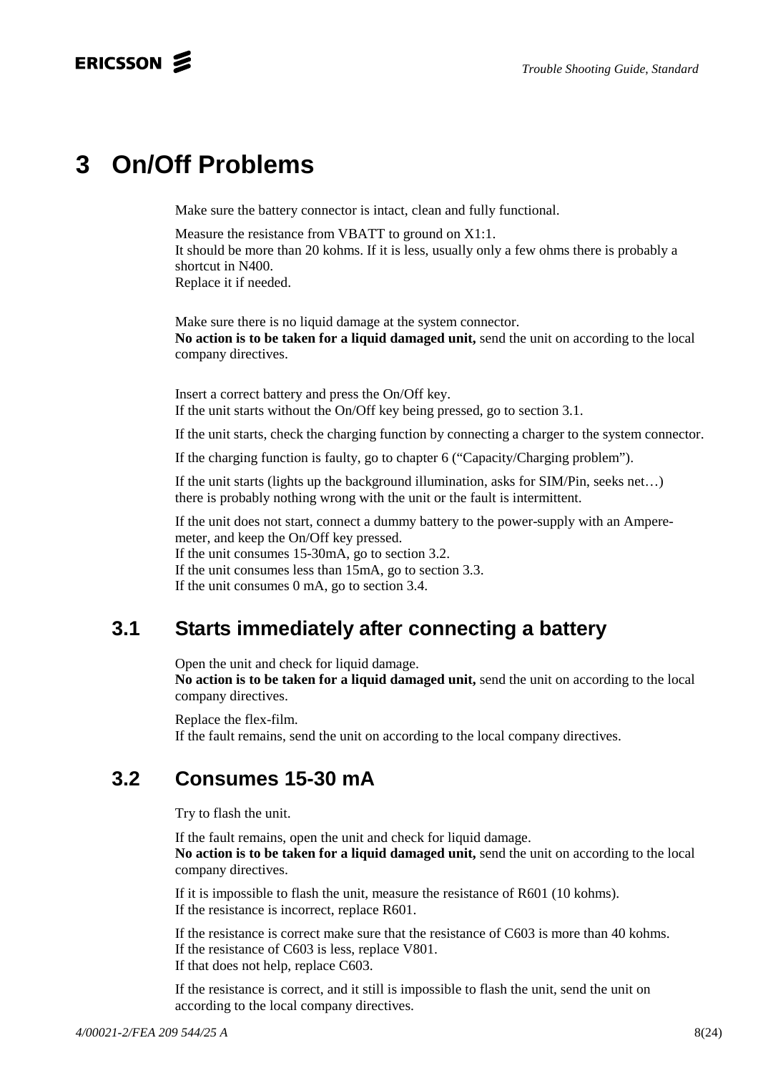# **3 On/Off Problems**

Make sure the battery connector is intact, clean and fully functional.

Measure the resistance from VBATT to ground on X1:1. It should be more than 20 kohms. If it is less, usually only a few ohms there is probably a shortcut in N400. Replace it if needed.

Make sure there is no liquid damage at the system connector. **No action is to be taken for a liquid damaged unit,** send the unit on according to the local company directives.

Insert a correct battery and press the On/Off key. If the unit starts without the On/Off key being pressed, go to section 3.1.

If the unit starts, check the charging function by connecting a charger to the system connector.

If the charging function is faulty, go to chapter 6 ("Capacity/Charging problem").

If the unit starts (lights up the background illumination, asks for SIM/Pin, seeks net…) there is probably nothing wrong with the unit or the fault is intermittent.

If the unit does not start, connect a dummy battery to the power-supply with an Amperemeter, and keep the On/Off key pressed. If the unit consumes 15-30mA, go to section 3.2. If the unit consumes less than 15mA, go to section 3.3. If the unit consumes 0 mA, go to section 3.4.

## **3.1 Starts immediately after connecting a battery**

Open the unit and check for liquid damage. **No action is to be taken for a liquid damaged unit,** send the unit on according to the local company directives.

Replace the flex-film. If the fault remains, send the unit on according to the local company directives.

# **3.2 Consumes 15-30 mA**

Try to flash the unit.

If the fault remains, open the unit and check for liquid damage. **No action is to be taken for a liquid damaged unit,** send the unit on according to the local company directives.

If it is impossible to flash the unit, measure the resistance of R601 (10 kohms). If the resistance is incorrect, replace R601.

If the resistance is correct make sure that the resistance of C603 is more than 40 kohms. If the resistance of C603 is less, replace V801. If that does not help, replace C603.

If the resistance is correct, and it still is impossible to flash the unit, send the unit on according to the local company directives.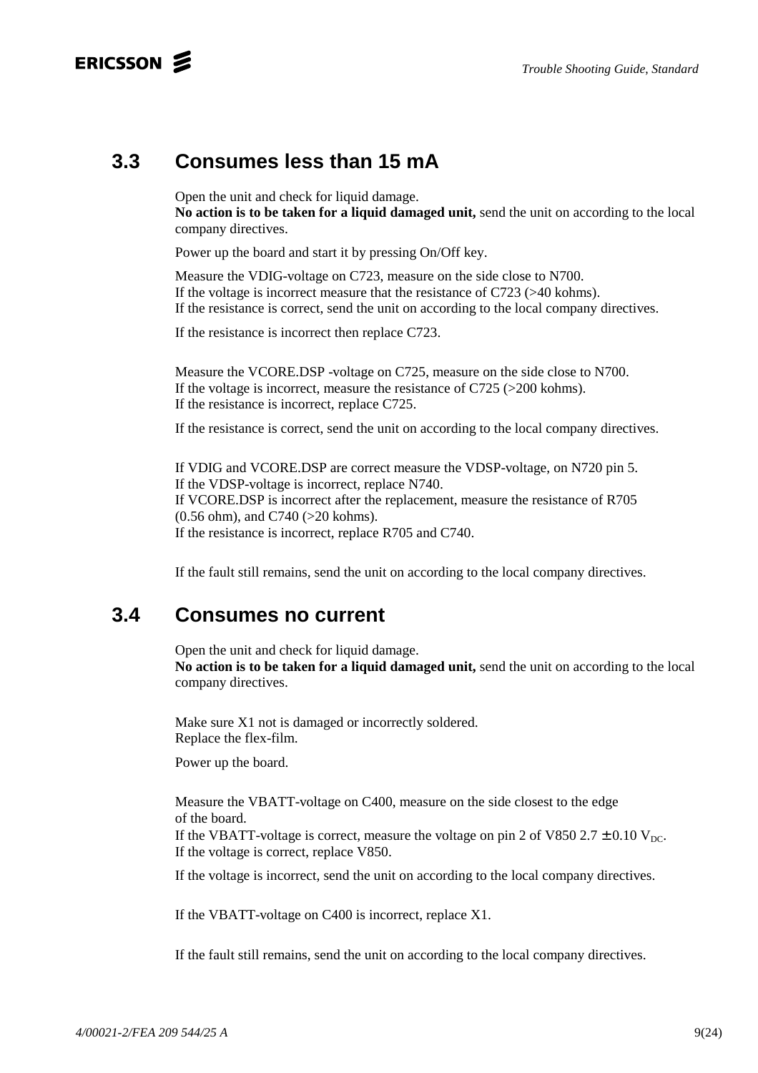### ERICSSON 2

## **3.3 Consumes less than 15 mA**

Open the unit and check for liquid damage. **No action is to be taken for a liquid damaged unit,** send the unit on according to the local company directives.

Power up the board and start it by pressing On/Off key.

Measure the VDIG-voltage on C723, measure on the side close to N700. If the voltage is incorrect measure that the resistance of C723 (>40 kohms). If the resistance is correct, send the unit on according to the local company directives.

If the resistance is incorrect then replace C723.

Measure the VCORE.DSP -voltage on C725, measure on the side close to N700. If the voltage is incorrect, measure the resistance of  $C725$  ( $>200$  kohms). If the resistance is incorrect, replace C725.

If the resistance is correct, send the unit on according to the local company directives.

If VDIG and VCORE.DSP are correct measure the VDSP-voltage, on N720 pin 5. If the VDSP-voltage is incorrect, replace N740. If VCORE.DSP is incorrect after the replacement, measure the resistance of R705 (0.56 ohm), and C740 (>20 kohms). If the resistance is incorrect, replace R705 and C740.

If the fault still remains, send the unit on according to the local company directives.

### **3.4 Consumes no current**

Open the unit and check for liquid damage.

**No action is to be taken for a liquid damaged unit,** send the unit on according to the local company directives.

Make sure X1 not is damaged or incorrectly soldered. Replace the flex-film.

Power up the board.

Measure the VBATT-voltage on C400, measure on the side closest to the edge of the board.

If the VBATT-voltage is correct, measure the voltage on pin 2 of V850 2.7  $\pm$  0.10 V<sub>DC</sub>. If the voltage is correct, replace V850.

If the voltage is incorrect, send the unit on according to the local company directives.

If the VBATT-voltage on C400 is incorrect, replace X1.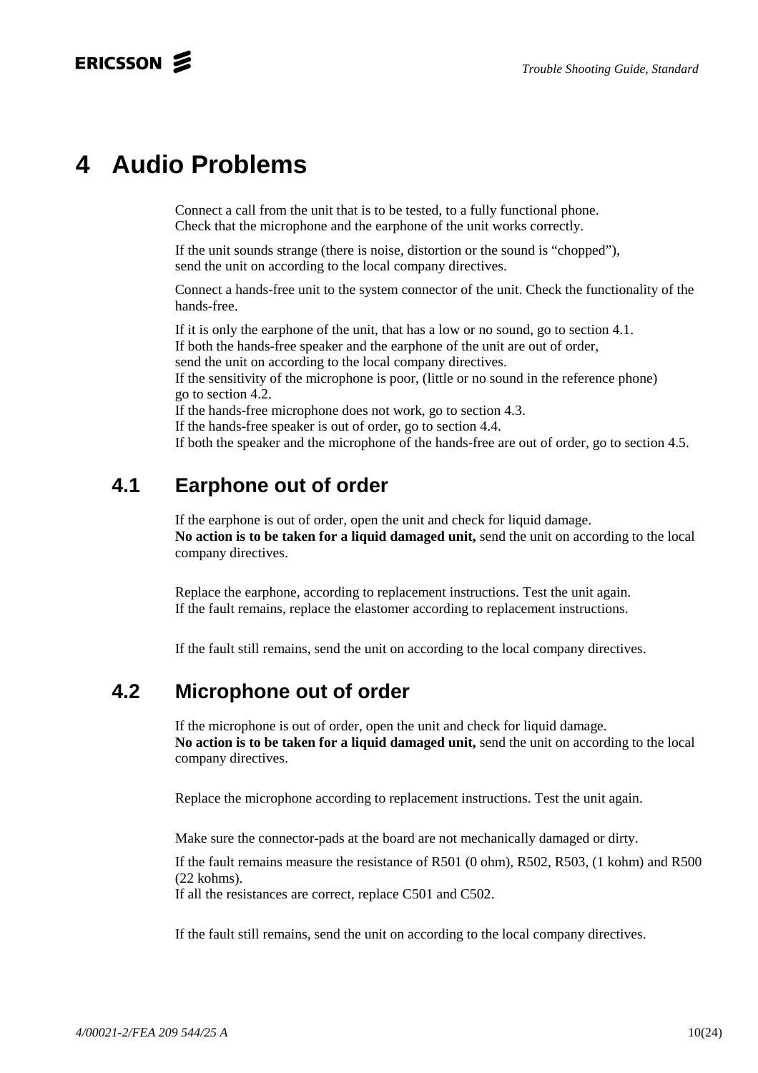# **4 Audio Problems**

Connect a call from the unit that is to be tested, to a fully functional phone. Check that the microphone and the earphone of the unit works correctly.

If the unit sounds strange (there is noise, distortion or the sound is "chopped"), send the unit on according to the local company directives.

Connect a hands-free unit to the system connector of the unit. Check the functionality of the hands-free.

If it is only the earphone of the unit, that has a low or no sound, go to section 4.1. If both the hands-free speaker and the earphone of the unit are out of order, send the unit on according to the local company directives.

If the sensitivity of the microphone is poor, (little or no sound in the reference phone) go to section 4.2.

If the hands-free microphone does not work, go to section 4.3.

If the hands-free speaker is out of order, go to section 4.4.

If both the speaker and the microphone of the hands-free are out of order, go to section 4.5.

## **4.1 Earphone out of order**

If the earphone is out of order, open the unit and check for liquid damage. **No action is to be taken for a liquid damaged unit,** send the unit on according to the local company directives.

Replace the earphone, according to replacement instructions. Test the unit again. If the fault remains, replace the elastomer according to replacement instructions.

If the fault still remains, send the unit on according to the local company directives.

## **4.2 Microphone out of order**

If the microphone is out of order, open the unit and check for liquid damage. **No action is to be taken for a liquid damaged unit,** send the unit on according to the local company directives.

Replace the microphone according to replacement instructions. Test the unit again.

Make sure the connector-pads at the board are not mechanically damaged or dirty.

If the fault remains measure the resistance of R501 (0 ohm), R502, R503, (1 kohm) and R500 (22 kohms).

If all the resistances are correct, replace C501 and C502.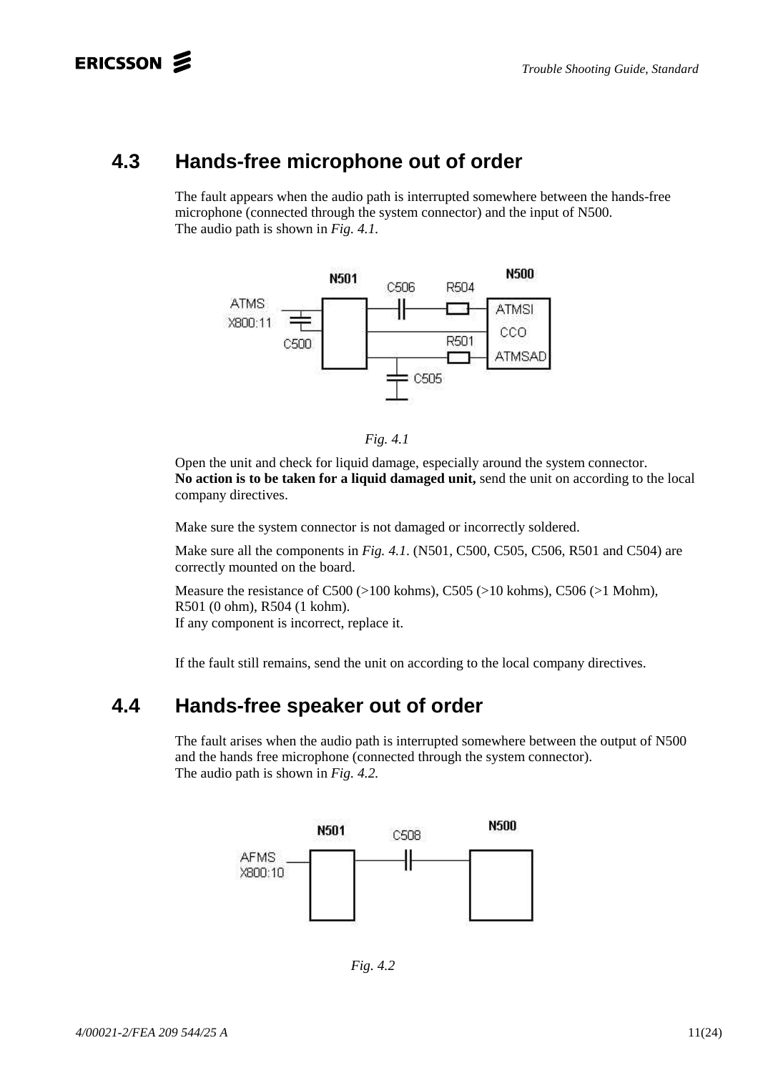### **4.3 Hands-free microphone out of order**

The fault appears when the audio path is interrupted somewhere between the hands-free microphone (connected through the system connector) and the input of N500. The audio path is shown in *Fig. 4.1.*





Open the unit and check for liquid damage, especially around the system connector. **No action is to be taken for a liquid damaged unit,** send the unit on according to the local company directives.

Make sure the system connector is not damaged or incorrectly soldered.

Make sure all the components in *Fig. 4.1*. (N501, C500, C505, C506, R501 and C504) are correctly mounted on the board.

Measure the resistance of C500 (>100 kohms), C505 (>10 kohms), C506 (>1 Mohm), R501 (0 ohm), R504 (1 kohm). If any component is incorrect, replace it.

If the fault still remains, send the unit on according to the local company directives.

### **4.4 Hands-free speaker out of order**

The fault arises when the audio path is interrupted somewhere between the output of N500 and the hands free microphone (connected through the system connector). The audio path is shown in *Fig. 4.2.*



*Fig. 4.2*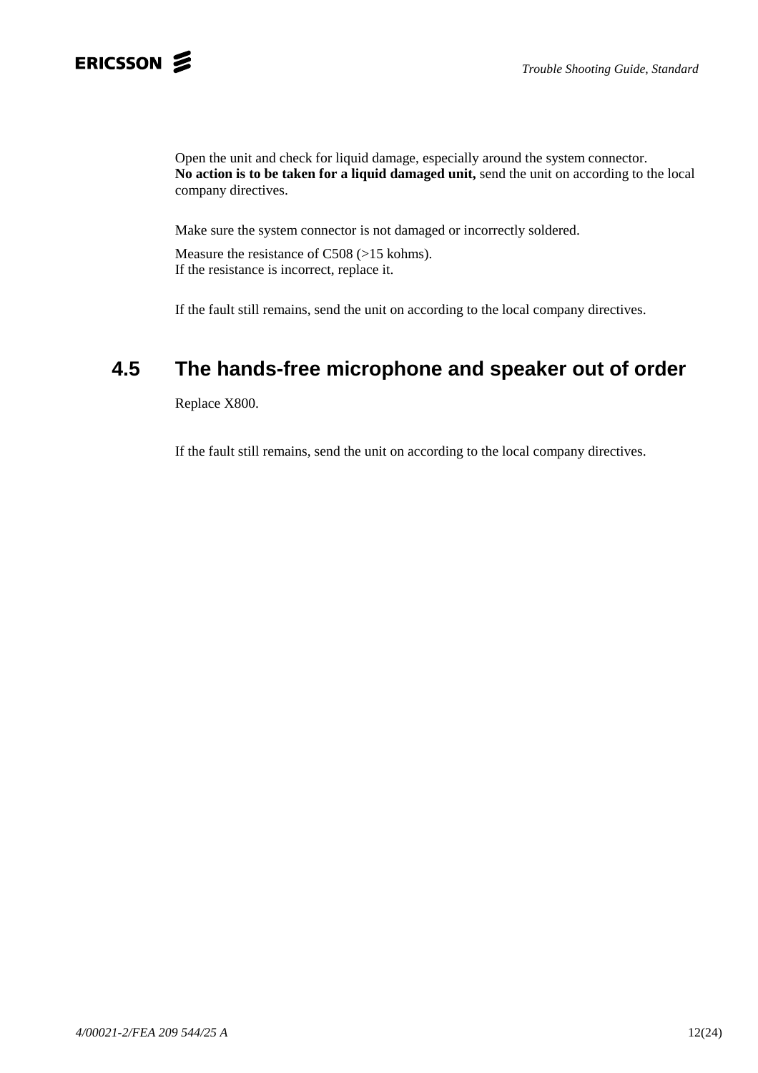Open the unit and check for liquid damage, especially around the system connector. **No action is to be taken for a liquid damaged unit,** send the unit on according to the local company directives.

Make sure the system connector is not damaged or incorrectly soldered.

Measure the resistance of C508 (>15 kohms). If the resistance is incorrect, replace it.

If the fault still remains, send the unit on according to the local company directives.

## **4.5 The hands-free microphone and speaker out of order**

Replace X800.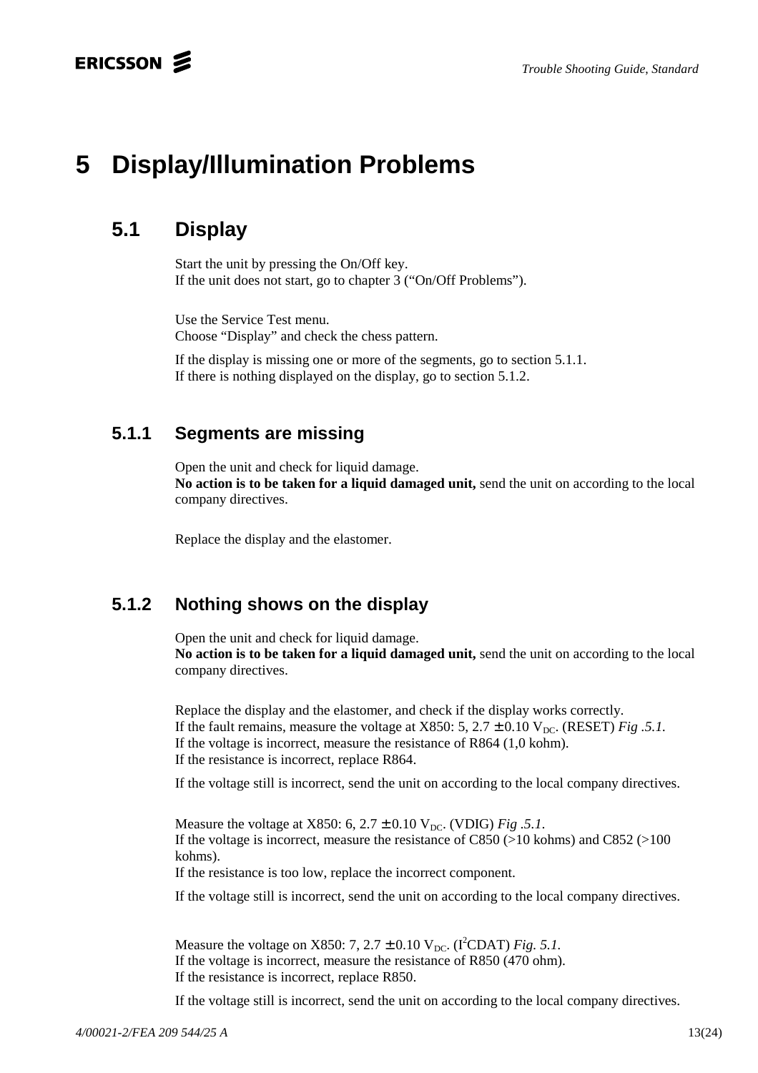# **5 Display/Illumination Problems**

## **5.1 Display**

Start the unit by pressing the On/Off key. If the unit does not start, go to chapter 3 ("On/Off Problems").

Use the Service Test menu. Choose "Display" and check the chess pattern.

If the display is missing one or more of the segments, go to section 5.1.1. If there is nothing displayed on the display, go to section 5.1.2.

### **5.1.1 Segments are missing**

Open the unit and check for liquid damage.

**No action is to be taken for a liquid damaged unit,** send the unit on according to the local company directives.

Replace the display and the elastomer.

### **5.1.2 Nothing shows on the display**

Open the unit and check for liquid damage. **No action is to be taken for a liquid damaged unit,** send the unit on according to the local company directives.

Replace the display and the elastomer, and check if the display works correctly. If the fault remains, measure the voltage at X850: 5,  $2.7 \pm 0.10$  V<sub>DC</sub>. (RESET) *Fig .5.1*. If the voltage is incorrect, measure the resistance of R864 (1,0 kohm). If the resistance is incorrect, replace R864.

If the voltage still is incorrect, send the unit on according to the local company directives.

Measure the voltage at X850: 6,  $2.7 \pm 0.10$  V<sub>DC</sub>. (VDIG) *Fig .5.1*. If the voltage is incorrect, measure the resistance of  $C850$  (>10 kohms) and  $C852$  (>100 kohms).

If the resistance is too low, replace the incorrect component.

If the voltage still is incorrect, send the unit on according to the local company directives.

Measure the voltage on X850:  $7, 2.7 \pm 0.10$  V<sub>DC</sub>. (I<sup>2</sup>CDAT) *Fig.* 5.1. If the voltage is incorrect, measure the resistance of R850 (470 ohm). If the resistance is incorrect, replace R850.

If the voltage still is incorrect, send the unit on according to the local company directives.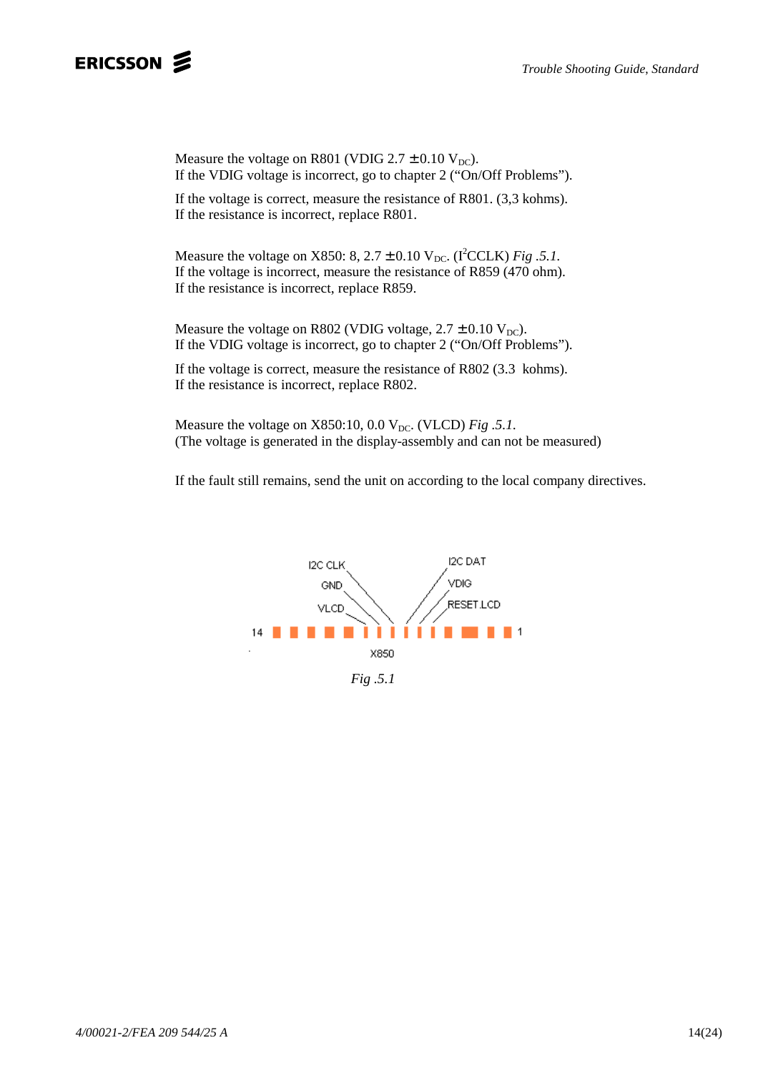Measure the voltage on R801 (VDIG  $2.7 \pm 0.10$  V<sub>DC</sub>). If the VDIG voltage is incorrect, go to chapter 2 ("On/Off Problems").

If the voltage is correct, measure the resistance of R801. (3,3 kohms). If the resistance is incorrect, replace R801.

Measure the voltage on X850: 8,  $2.7 \pm 0.10$  V<sub>DC</sub>. (I<sup>2</sup>CCLK) *Fig .5.1*. If the voltage is incorrect, measure the resistance of R859 (470 ohm). If the resistance is incorrect, replace R859.

Measure the voltage on R802 (VDIG voltage,  $2.7 \pm 0.10$  V<sub>DC</sub>). If the VDIG voltage is incorrect, go to chapter 2 ("On/Off Problems").

If the voltage is correct, measure the resistance of R802 (3.3 kohms). If the resistance is incorrect, replace R802.

Measure the voltage on  $X850:10$ , 0.0  $V_{DC}$ . (VLCD) *Fig .5.1*. (The voltage is generated in the display-assembly and can not be measured)

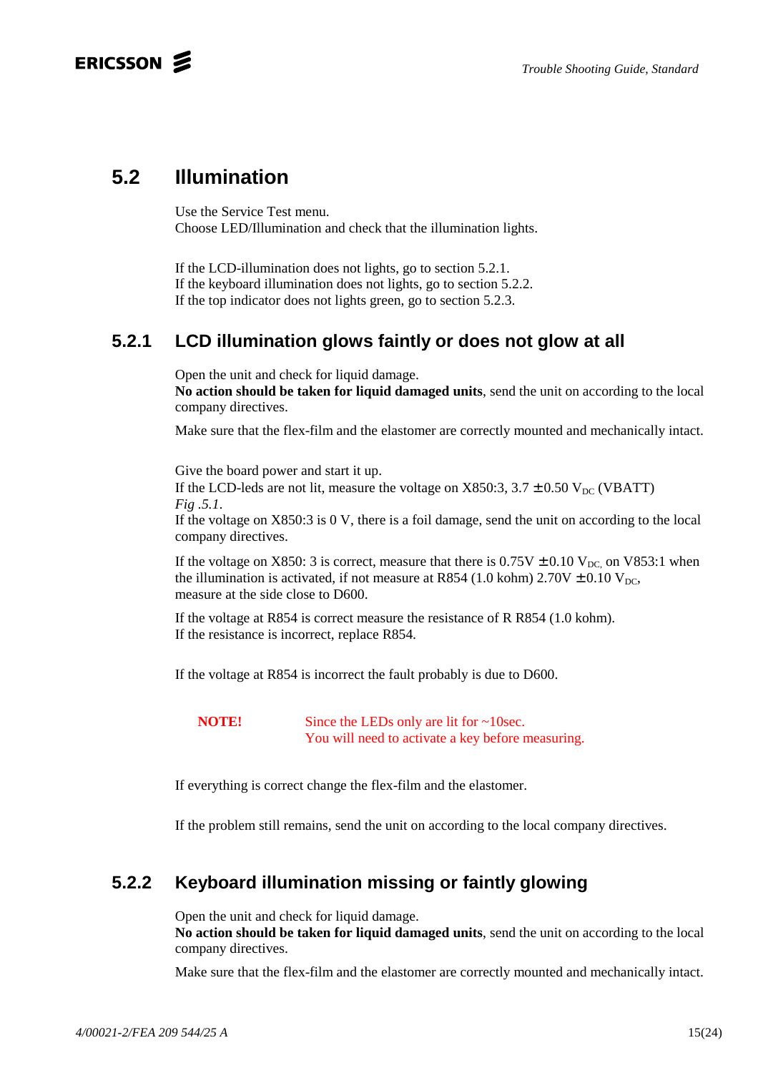### ERICSSON 2

### **5.2 Illumination**

Use the Service Test menu. Choose LED/Illumination and check that the illumination lights.

If the LCD-illumination does not lights, go to section 5.2.1. If the keyboard illumination does not lights, go to section 5.2.2. If the top indicator does not lights green, go to section 5.2.3.

### **5.2.1 LCD illumination glows faintly or does not glow at all**

Open the unit and check for liquid damage.

**No action should be taken for liquid damaged units**, send the unit on according to the local company directives.

Make sure that the flex-film and the elastomer are correctly mounted and mechanically intact.

Give the board power and start it up.

If the LCD-leds are not lit, measure the voltage on X850:3,  $3.7 \pm 0.50$  V<sub>DC</sub> (VBATT) *Fig .5.1*.

If the voltage on X850:3 is 0 V, there is a foil damage, send the unit on according to the local company directives.

If the voltage on X850: 3 is correct, measure that there is  $0.75V \pm 0.10 V_{DC}$  on V853:1 when the illumination is activated, if not measure at R854 (1.0 kohm)  $2.70V \pm 0.10 V_{DC}$ , measure at the side close to D600.

If the voltage at R854 is correct measure the resistance of R R854 (1.0 kohm). If the resistance is incorrect, replace R854*.*

If the voltage at R854 is incorrect the fault probably is due to D600.

**NOTE!** Since the LEDs only are lit for ~10sec. You will need to activate a key before measuring.

If everything is correct change the flex-film and the elastomer.

If the problem still remains, send the unit on according to the local company directives.

### **5.2.2 Keyboard illumination missing or faintly glowing**

Open the unit and check for liquid damage.

**No action should be taken for liquid damaged units**, send the unit on according to the local company directives.

Make sure that the flex-film and the elastomer are correctly mounted and mechanically intact.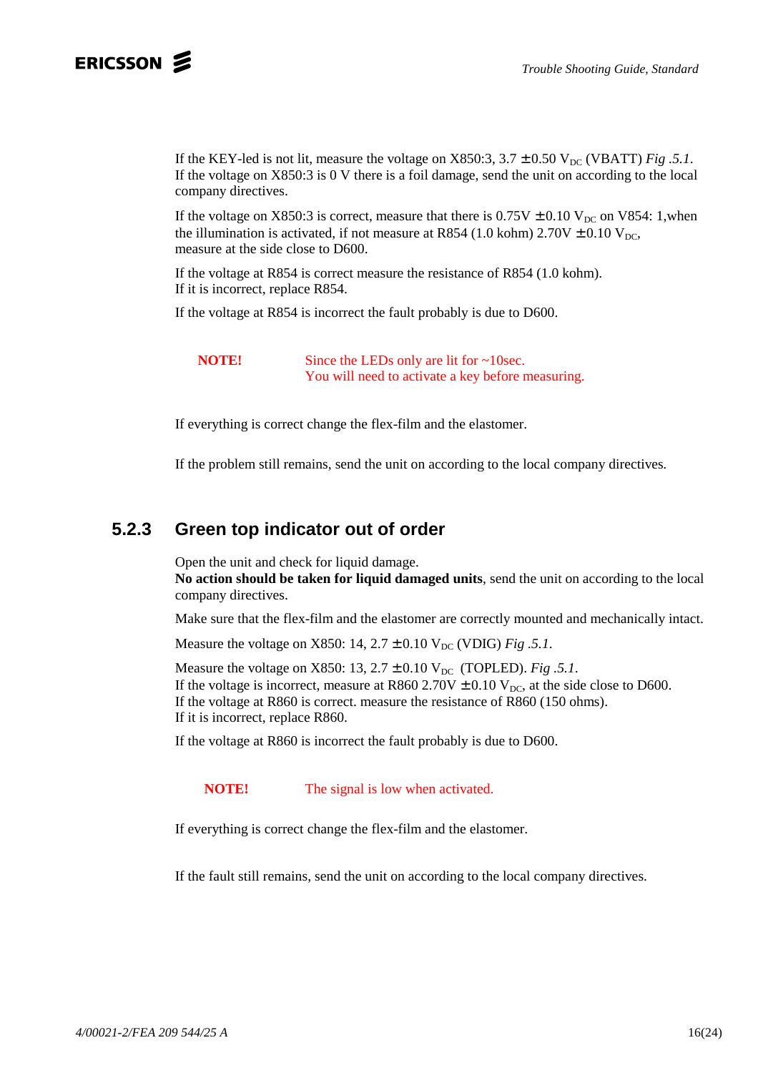If the KEY-led is not lit, measure the voltage on X850:3,  $3.7 \pm 0.50$  V<sub>DC</sub> (VBATT) *Fig .5.1*. If the voltage on X850:3 is 0 V there is a foil damage, send the unit on according to the local company directives.

If the voltage on X850:3 is correct, measure that there is  $0.75V \pm 0.10 V_{DC}$  on V854: 1,when the illumination is activated, if not measure at R854 (1.0 kohm)  $2.70V \pm 0.10 V_{DC}$ , measure at the side close to D600.

If the voltage at R854 is correct measure the resistance of R854 (1.0 kohm). If it is incorrect, replace R854*.*

If the voltage at R854 is incorrect the fault probably is due to D600.

**NOTE!** Since the LEDs only are lit for ~10sec. You will need to activate a key before measuring.

If everything is correct change the flex-film and the elastomer.

If the problem still remains, send the unit on according to the local company directives*.*

#### **5.2.3 Green top indicator out of order**

Open the unit and check for liquid damage.

**No action should be taken for liquid damaged units**, send the unit on according to the local company directives.

Make sure that the flex-film and the elastomer are correctly mounted and mechanically intact.

Measure the voltage on X850:  $14, 2.7 \pm 0.10$  V<sub>DC</sub> (VDIG) *Fig .5.1*.

Measure the voltage on X850: 13,  $2.7 \pm 0.10$  V<sub>DC</sub> (TOPLED). *Fig .5.1*. If the voltage is incorrect, measure at R860 2.70V  $\pm$  0.10 V<sub>DC</sub>, at the side close to D600. If the voltage at R860 is correct. measure the resistance of R860 (150 ohms). If it is incorrect, replace R860*.*

If the voltage at R860 is incorrect the fault probably is due to D600.

**NOTE!** The signal is low when activated.

If everything is correct change the flex-film and the elastomer.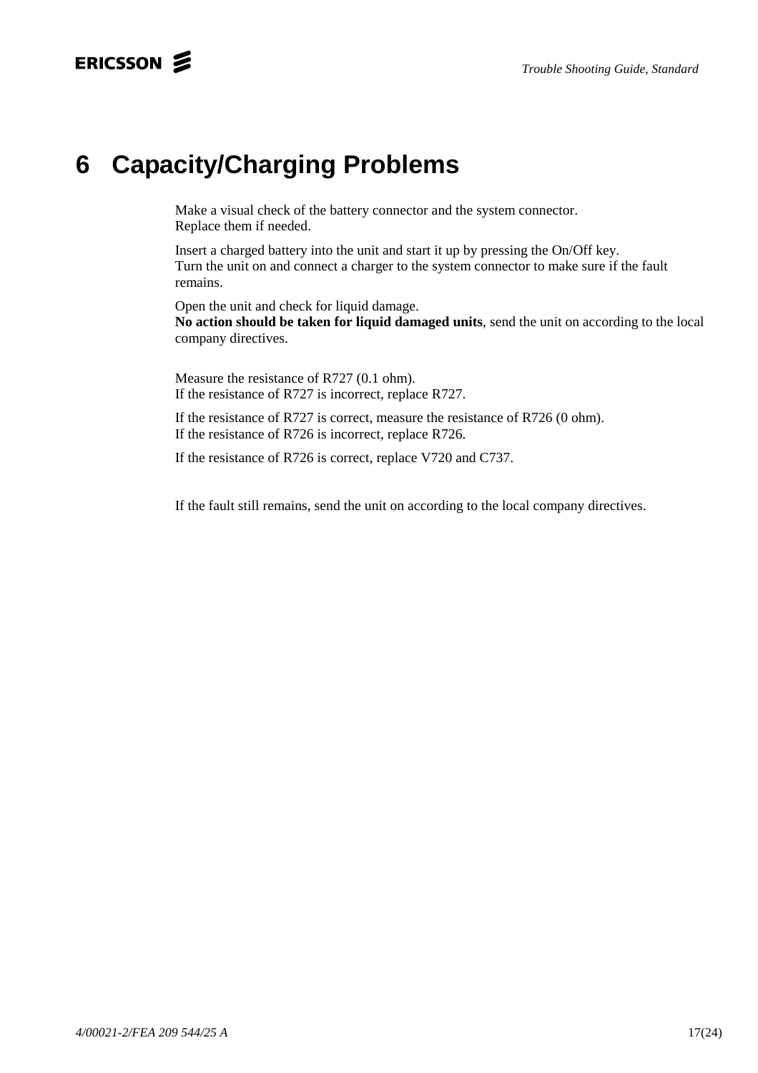## ERICSSON **S**

# **6 Capacity/Charging Problems**

Make a visual check of the battery connector and the system connector. Replace them if needed.

Insert a charged battery into the unit and start it up by pressing the On/Off key. Turn the unit on and connect a charger to the system connector to make sure if the fault remains.

Open the unit and check for liquid damage.

**No action should be taken for liquid damaged units**, send the unit on according to the local company directives.

Measure the resistance of R727 (0.1 ohm). If the resistance of R727 is incorrect, replace R727.

If the resistance of R727 is correct, measure the resistance of R726 (0 ohm). If the resistance of R726 is incorrect, replace R726.

If the resistance of R726 is correct, replace V720 and C737.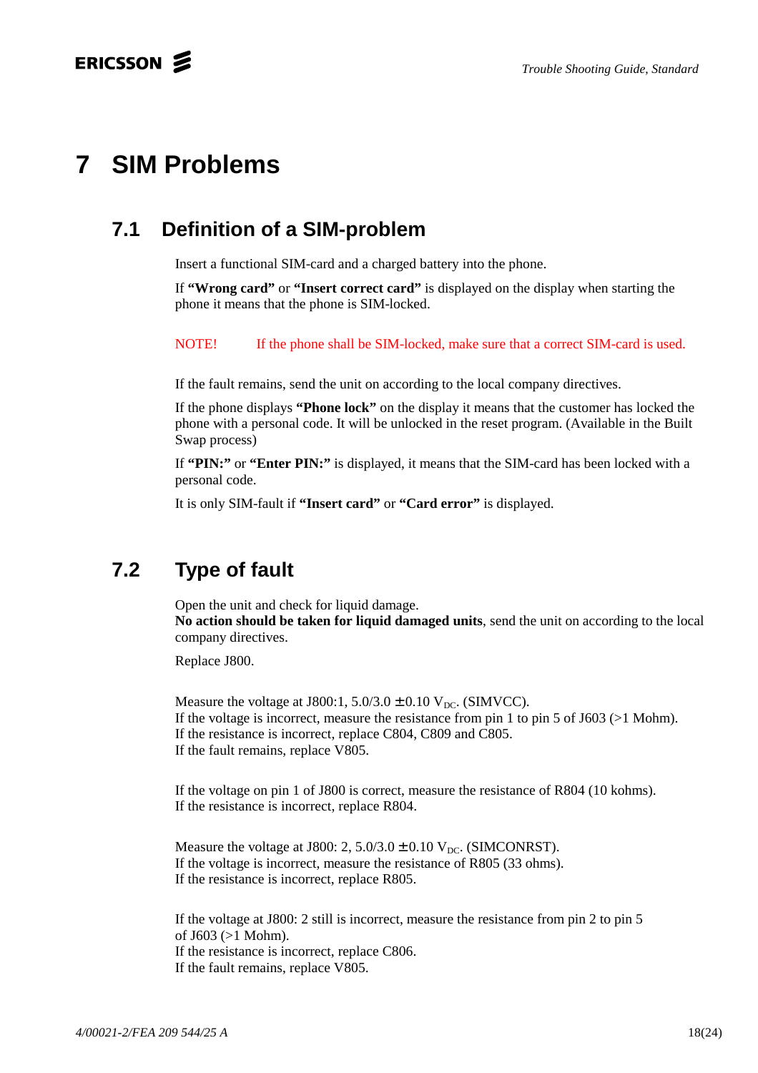# **7 SIM Problems**

## **7.1 Definition of a SIM-problem**

Insert a functional SIM-card and a charged battery into the phone.

If **"Wrong card"** or **"Insert correct card"** is displayed on the display when starting the phone it means that the phone is SIM-locked.

NOTE! If the phone shall be SIM-locked, make sure that a correct SIM-card is used.

If the fault remains, send the unit on according to the local company directives.

If the phone displays **"Phone lock"** on the display it means that the customer has locked the phone with a personal code. It will be unlocked in the reset program. (Available in the Built Swap process)

If **"PIN:"** or **"Enter PIN:"** is displayed, it means that the SIM-card has been locked with a personal code.

It is only SIM-fault if **"Insert card"** or **"Card error"** is displayed.

## **7.2 Type of fault**

Open the unit and check for liquid damage.

**No action should be taken for liquid damaged units**, send the unit on according to the local company directives.

Replace J800.

Measure the voltage at J800:1,  $5.0/3.0 \pm 0.10$  V<sub>DC</sub>. (SIMVCC). If the voltage is incorrect, measure the resistance from pin 1 to pin 5 of J603 (>1 Mohm). If the resistance is incorrect, replace C804, C809 and C805. If the fault remains, replace V805.

If the voltage on pin 1 of J800 is correct, measure the resistance of R804 (10 kohms). If the resistance is incorrect, replace R804.

Measure the voltage at J800: 2,  $5.0/3.0 \pm 0.10$  V<sub>DC</sub>. (SIMCONRST). If the voltage is incorrect, measure the resistance of R805 (33 ohms). If the resistance is incorrect, replace R805.

If the voltage at J800: 2 still is incorrect, measure the resistance from pin 2 to pin 5 of J603 (>1 Mohm). If the resistance is incorrect, replace C806. If the fault remains, replace V805.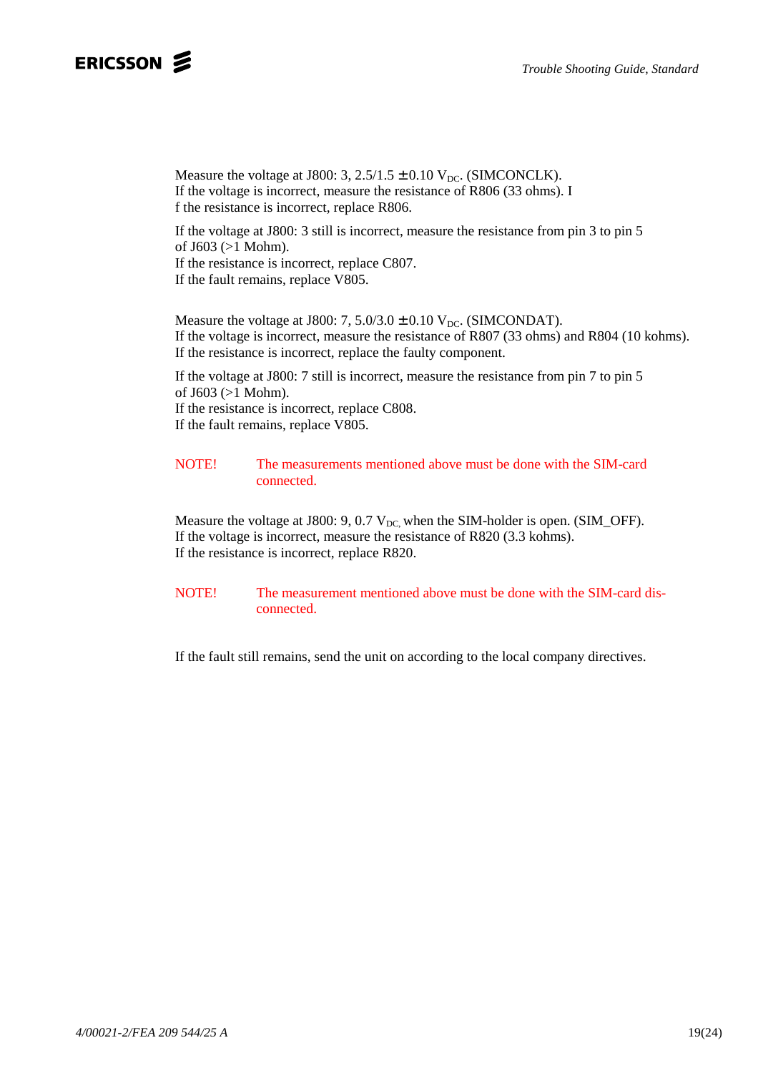### ERICSSON **S**

Measure the voltage at J800: 3,  $2.5/1.5 \pm 0.10$  V<sub>DC</sub>. (SIMCONCLK). If the voltage is incorrect, measure the resistance of R806 (33 ohms). I f the resistance is incorrect, replace R806.

If the voltage at J800: 3 still is incorrect, measure the resistance from pin 3 to pin 5 of J603 (>1 Mohm). If the resistance is incorrect, replace C807.

If the fault remains, replace V805.

Measure the voltage at J800: 7,  $5.0/3.0 \pm 0.10$  V<sub>DC</sub>. (SIMCONDAT). If the voltage is incorrect, measure the resistance of R807 (33 ohms) and R804 (10 kohms). If the resistance is incorrect, replace the faulty component.

If the voltage at J800: 7 still is incorrect, measure the resistance from pin 7 to pin 5 of J603 (>1 Mohm). If the resistance is incorrect, replace C808. If the fault remains, replace V805.

#### NOTE! The measurements mentioned above must be done with the SIM-card connected.

Measure the voltage at J800: 9, 0.7  $V_{DC}$ , when the SIM-holder is open. (SIM\_OFF). If the voltage is incorrect, measure the resistance of R820 (3.3 kohms). If the resistance is incorrect, replace R820.

NOTE! The measurement mentioned above must be done with the SIM-card disconnected.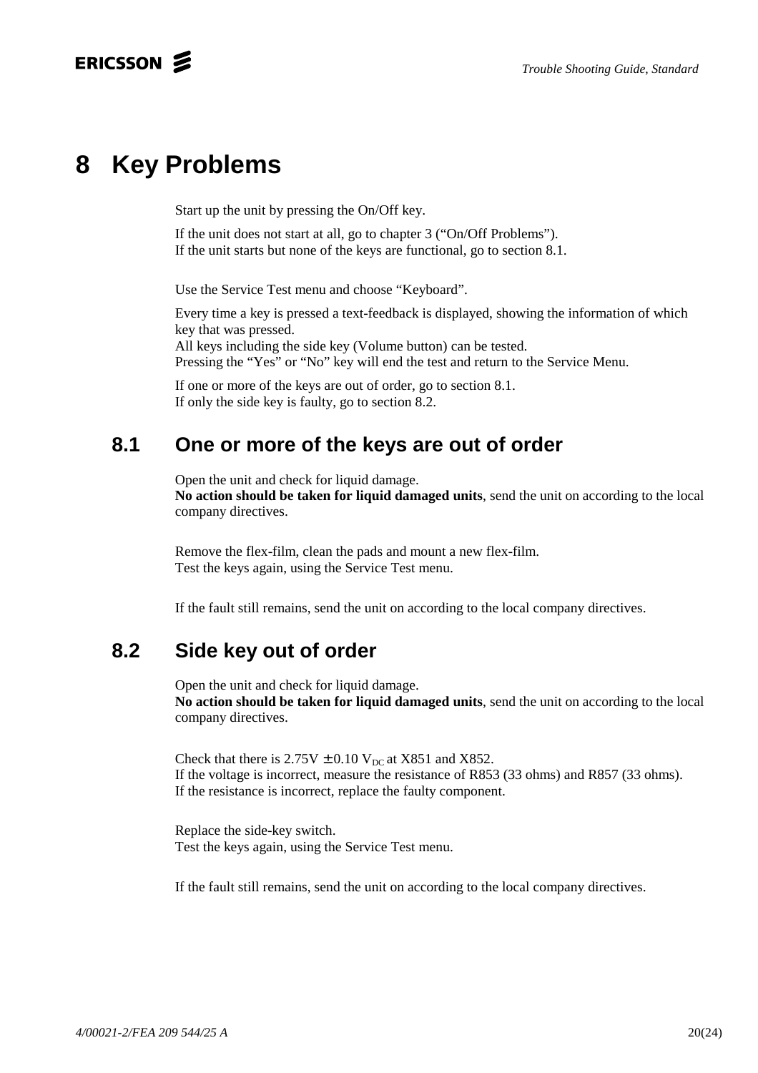# **8 Key Problems**

Start up the unit by pressing the On/Off key.

If the unit does not start at all, go to chapter 3 ("On/Off Problems"). If the unit starts but none of the keys are functional, go to section 8.1.

Use the Service Test menu and choose "Keyboard".

Every time a key is pressed a text-feedback is displayed, showing the information of which key that was pressed.

All keys including the side key (Volume button) can be tested. Pressing the "Yes" or "No" key will end the test and return to the Service Menu.

If one or more of the keys are out of order, go to section 8.1. If only the side key is faulty, go to section 8.2.

## **8.1 One or more of the keys are out of order**

Open the unit and check for liquid damage.

**No action should be taken for liquid damaged units**, send the unit on according to the local company directives.

Remove the flex-film, clean the pads and mount a new flex-film. Test the keys again, using the Service Test menu.

If the fault still remains, send the unit on according to the local company directives.

## **8.2 Side key out of order**

Open the unit and check for liquid damage. **No action should be taken for liquid damaged units**, send the unit on according to the local company directives.

Check that there is  $2.75V \pm 0.10 V_{DC}$  at X851 and X852. If the voltage is incorrect, measure the resistance of R853 (33 ohms) and R857 (33 ohms). If the resistance is incorrect, replace the faulty component.

Replace the side-key switch. Test the keys again, using the Service Test menu.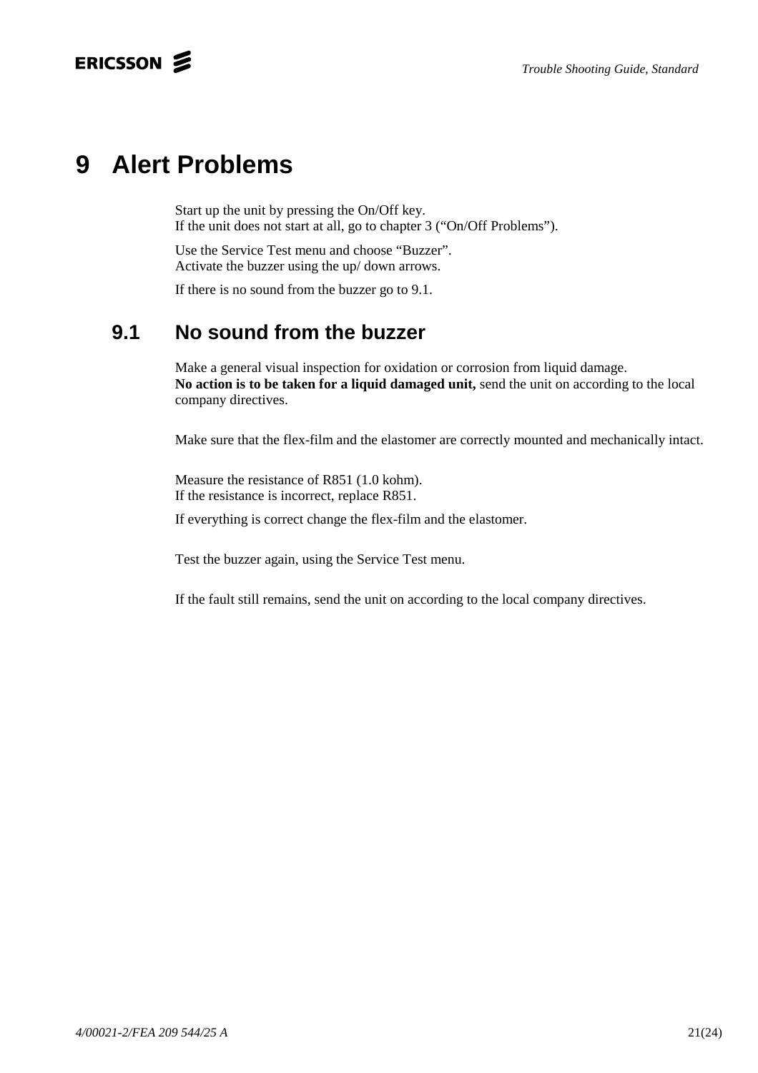# **9 Alert Problems**

Start up the unit by pressing the On/Off key. If the unit does not start at all, go to chapter 3 ("On/Off Problems").

Use the Service Test menu and choose "Buzzer". Activate the buzzer using the up/ down arrows.

If there is no sound from the buzzer go to 9.1.

# **9.1 No sound from the buzzer**

Make a general visual inspection for oxidation or corrosion from liquid damage. **No action is to be taken for a liquid damaged unit,** send the unit on according to the local company directives.

Make sure that the flex-film and the elastomer are correctly mounted and mechanically intact.

Measure the resistance of R851 (1.0 kohm). If the resistance is incorrect, replace R851.

If everything is correct change the flex-film and the elastomer.

Test the buzzer again, using the Service Test menu.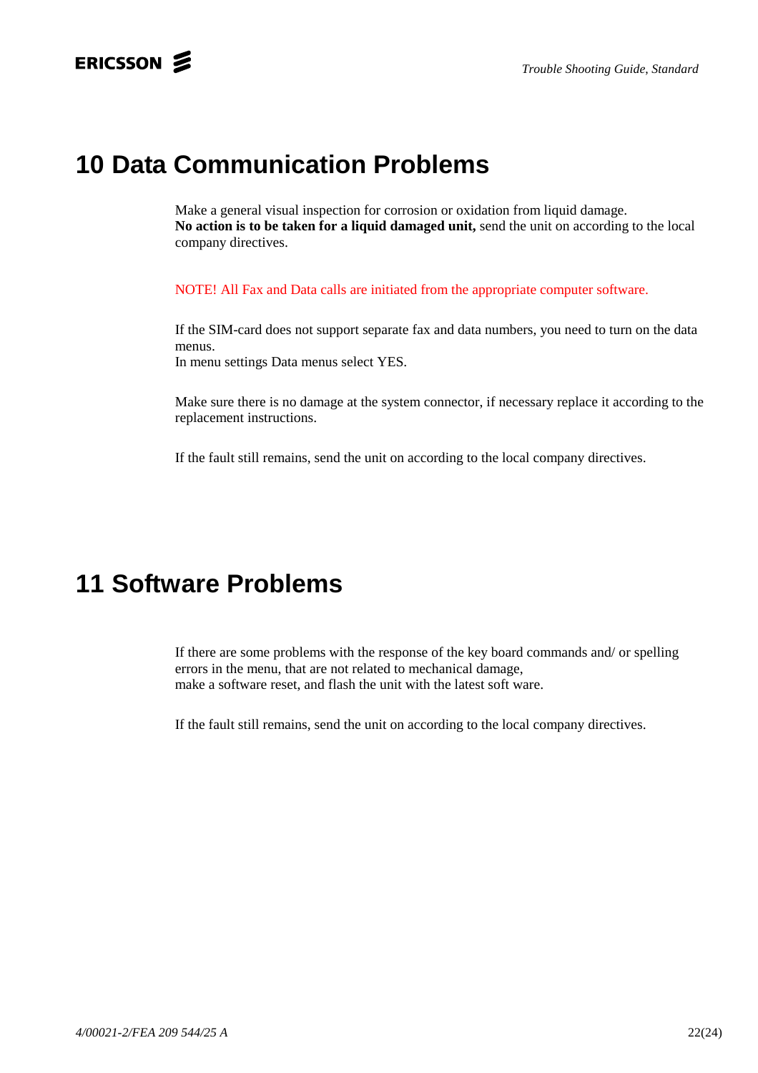# **10 Data Communication Problems**

Make a general visual inspection for corrosion or oxidation from liquid damage. **No action is to be taken for a liquid damaged unit,** send the unit on according to the local company directives.

NOTE! All Fax and Data calls are initiated from the appropriate computer software.

If the SIM-card does not support separate fax and data numbers, you need to turn on the data menus.

In menu settings Data menus select YES.

Make sure there is no damage at the system connector, if necessary replace it according to the replacement instructions.

If the fault still remains, send the unit on according to the local company directives.

# **11 Software Problems**

If there are some problems with the response of the key board commands and/ or spelling errors in the menu, that are not related to mechanical damage, make a software reset, and flash the unit with the latest soft ware.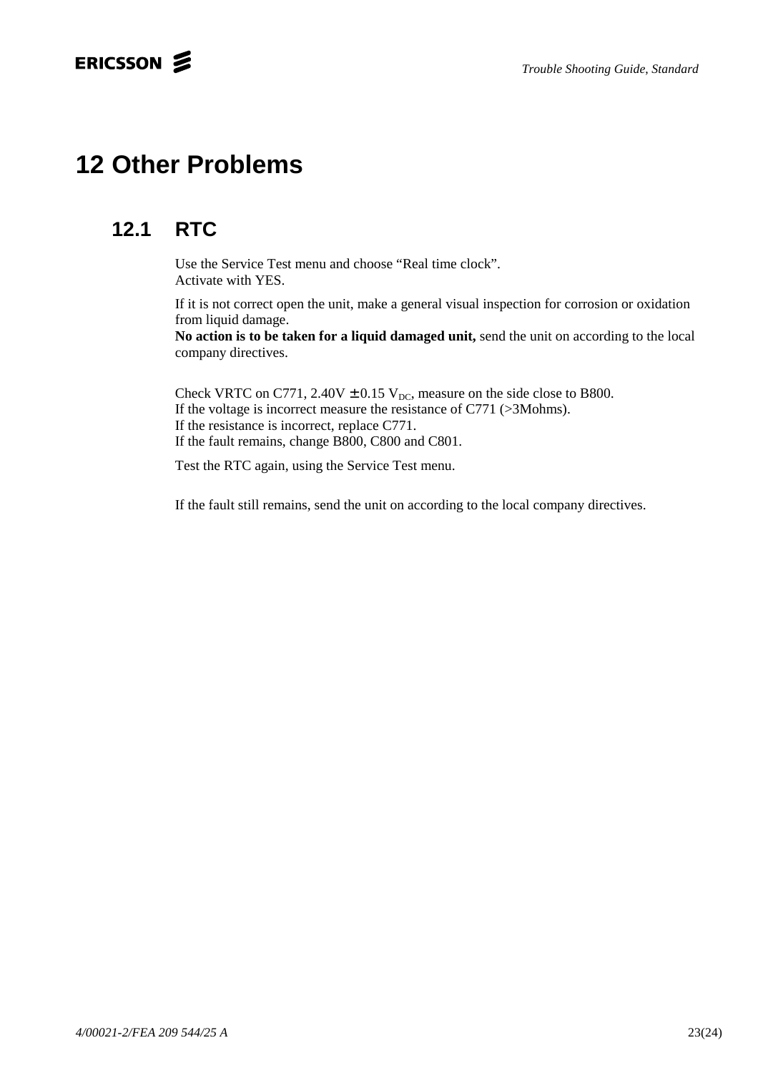# **12 Other Problems**

# **12.1 RTC**

Use the Service Test menu and choose "Real time clock". Activate with YES.

If it is not correct open the unit, make a general visual inspection for corrosion or oxidation from liquid damage.

**No action is to be taken for a liquid damaged unit,** send the unit on according to the local company directives.

Check VRTC on C771, 2.40V  $\pm$  0.15 V<sub>DC</sub>, measure on the side close to B800. If the voltage is incorrect measure the resistance of C771 (>3Mohms). If the resistance is incorrect, replace C771. If the fault remains, change B800, C800 and C801.

Test the RTC again, using the Service Test menu.